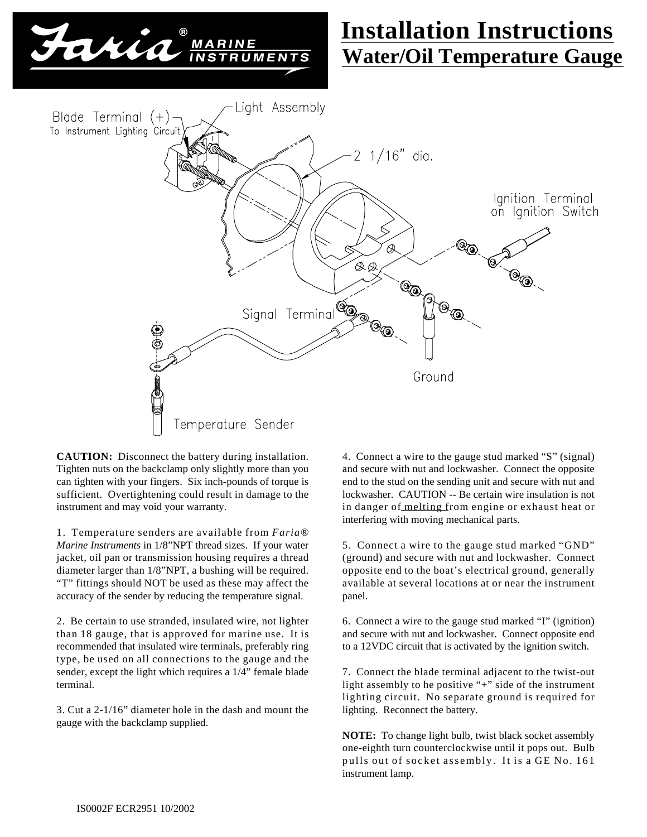

## **Water/Oil Temperature Gauge Installation Instructions**



**CAUTION:** Disconnect the battery during installation. Tighten nuts on the backclamp only slightly more than you can tighten with your fingers. Six inch-pounds of torque is sufficient. Overtightening could result in damage to the instrument and may void your warranty.

1. Temperature senders are available from *Faria® Marine Instruments* in 1/8"NPT thread sizes. If your water jacket, oil pan or transmission housing requires a thread diameter larger than 1/8"NPT, a bushing will be required. "T" fittings should NOT be used as these may affect the accuracy of the sender by reducing the temperature signal.

2. Be certain to use stranded, insulated wire, not lighter than 18 gauge, that is approved for marine use. It is recommended that insulated wire terminals, preferably ring type, be used on all connections to the gauge and the sender, except the light which requires a 1/4" female blade terminal.

3. Cut a 2-1/16" diameter hole in the dash and mount the gauge with the backclamp supplied.

4. Connect a wire to the gauge stud marked "S" (signal) and secure with nut and lockwasher. Connect the opposite end to the stud on the sending unit and secure with nut and lockwasher. CAUTION -- Be certain wire insulation is not in danger of melting from engine or exhaust heat or interfering with moving mechanical parts.

5. Connect a wire to the gauge stud marked "GND" (ground) and secure with nut and lockwasher. Connect opposite end to the boat's electrical ground, generally available at several locations at or near the instrument panel.

6. Connect a wire to the gauge stud marked "I" (ignition) and secure with nut and lockwasher. Connect opposite end to a 12VDC circuit that is activated by the ignition switch.

7. Connect the blade terminal adjacent to the twist-out light assembly to he positive "+" side of the instrument lighting circuit. No separate ground is required for lighting. Reconnect the battery.

**NOTE:** To change light bulb, twist black socket assembly one-eighth turn counterclockwise until it pops out. Bulb pulls out of socket assembly. It is a GE No. 161 instrument lamp.